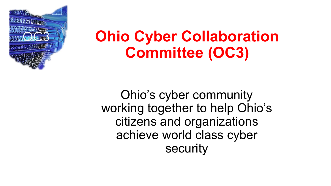

Ohio's cyber community working together to help Ohio's citizens and organizations achieve world class cyber security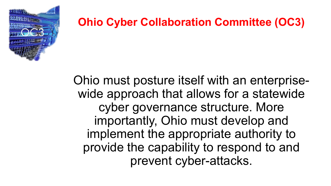

Ohio must posture itself with an enterprisewide approach that allows for a statewide cyber governance structure. More importantly, Ohio must develop and implement the appropriate authority to provide the capability to respond to and prevent cyber-attacks.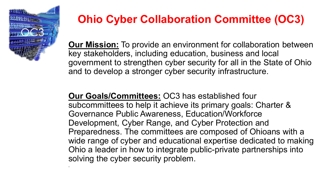

**Our Mission:** To provide an environment for collaboration between key stakeholders, including education, business and local government to strengthen cyber security for all in the State of Ohio and to develop a stronger cyber security infrastructure.

**Our Goals/Committees:** OC3 has established four subcommittees to help it achieve its primary goals: Charter & Governance Public Awareness, Education/Workforce Development, Cyber Range, and Cyber Protection and Preparedness. The committees are composed of Ohioans with a wide range of cyber and educational expertise dedicated to making Ohio a leader in how to integrate public-private partnerships into solving the cyber security problem. .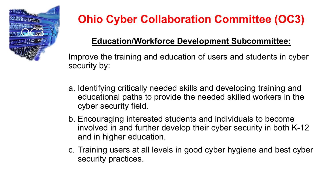

### **Education/Workforce Development Subcommittee:**

Improve the training and education of users and students in cyber security by:

- a. Identifying critically needed skills and developing training and educational paths to provide the needed skilled workers in the cyber security field.
- b. Encouraging interested students and individuals to become involved in and further develop their cyber security in both K-12 and in higher education.
- c. Training users at all levels in good cyber hygiene and best cyber security practices.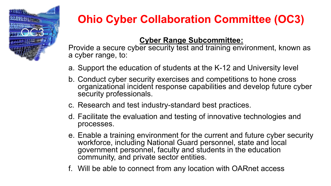

### **Cyber Range Subcommittee:**

Provide a secure cyber security test and training environment, known as a cyber range, to:

- a. Support the education of students at the K-12 and University level
- b. Conduct cyber security exercises and competitions to hone cross organizational incident response capabilities and develop future cyber security professionals.
- c. Research and test industry-standard best practices.
- d. Facilitate the evaluation and testing of innovative technologies and processes.
- e. Enable a training environment for the current and future cyber security workforce, including National Guard personnel, state and local government personnel, faculty and students in the education community, and private sector entities.
- f. Will be able to connect from any location with OARnet access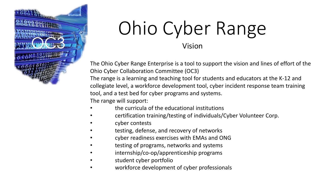

#### Vision

The Ohio Cyber Range Enterprise is a tool to support the vision and lines of effort of the Ohio Cyber Collaboration Committee (OC3)

The range is a learning and teaching tool for students and educators at the K-12 and collegiate level, a workforce development tool, cyber incident response team training tool, and a test bed for cyber programs and systems.

The range will support:

- the curricula of the educational institutions
- certification training/testing of individuals/Cyber Volunteer Corp.
- cyber contests
- testing, defense, and recovery of networks
- cyber readiness exercises with EMAs and ONG
- testing of programs, networks and systems
- internship/co-op/apprenticeship programs
- student cyber portfolio
- workforce development of cyber professionals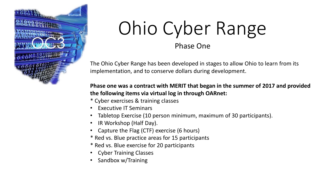

#### Phase One

The Ohio Cyber Range has been developed in stages to allow Ohio to learn from its implementation, and to conserve dollars during development.

#### **Phase one was a contract with MERIT that began in the summer of 2017 and provided the following items via virtual log in through OARnet:**

- \* Cyber exercises & training classes
- Executive IT Seminars
- Tabletop Exercise (10 person minimum, maximum of 30 participants).
- IR Workshop (Half Day).
- Capture the Flag (CTF) exercise (6 hours)
- \* Red vs. Blue practice areas for 15 participants
- \* Red vs. Blue exercise for 20 participants
- Cyber Training Classes
- Sandbox w/Training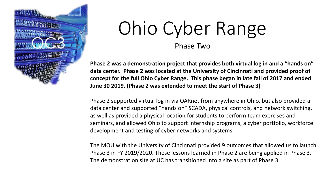

Phase Two

**Phase 2 was a demonstration project that provides both virtual log in and a "hands on" data center. Phase 2 was located at the University of Cincinnati and provided proof of concept for the full Ohio Cyber Range. This phase began in late fall of 2017 and ended June 30 2019. (Phase 2 was extended to meet the start of Phase 3)**

Phase 2 supported virtual log in via OARnet from anywhere in Ohio, but also provided a data center and supported "hands on" SCADA, physical controls, and network switching, as well as provided a physical location for students to perform team exercises and seminars, and allowed Ohio to support internship programs, a cyber portfolio, workforce development and testing of cyber networks and systems.

The MOU with the University of Cincinnati provided 9 outcomes that allowed us to launch Phase 3 in FY 2019/2020. These lessons learned in Phase 2 are being applied in Phase 3. The demonstration site at UC has transitioned into a site as part of Phase 3.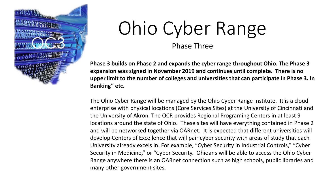

Phase Three

**Phase 3 builds on Phase 2 and expands the cyber range throughout Ohio. The Phase 3 expansion was signed in November 2019 and continues until complete. There is no upper limit to the number of colleges and universities that can participate in Phase 3. in Banking" etc.**

The Ohio Cyber Range will be managed by the Ohio Cyber Range Institute. It is a cloud enterprise with physical locations (Core Services Sites) at the University of Cincinnati and the University of Akron. The OCR provides Regional Programing Centers in at least 9 locations around the state of Ohio. These sites will have everything contained in Phase 2 and will be networked together via OARnet. It is expected that different universities will develop Centers of Excellence that will pair cyber security with areas of study that each University already excels in. For example, "Cyber Security in Industrial Controls," "Cyber Security in Medicine," or "Cyber Security. Ohioans will be able to access the Ohio Cyber Range anywhere there is an OARnet connection such as high schools, public libraries and many other government sites.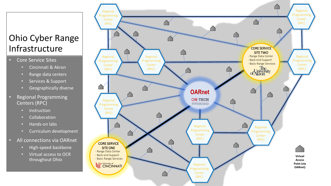### Ohio Cyber Range Infrastructure

- Core Service Sites
	- Cincinnati & Akron
	- Range data centers
	- Services & Support
	- **Geographically diverse**
- Regional Programming Centers (RPC)
	- **Instruction**
	- **Collaboration**
	- Hands-on labs
	- Curriculum development
- All connections via OARnet
	- High-speed backbone
	- Virtual access to OCR throughout Ohio

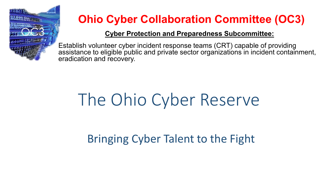

#### **Cyber Protection and Preparedness Subcommittee:**

Establish volunteer cyber incident response teams (CRT) capable of providing assistance to eligible public and private sector organizations in incident containment, eradication and recovery.

# The Ohio Cyber Reserve

Bringing Cyber Talent to the Fight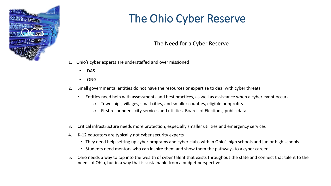

#### The Need for a Cyber Reserve

- 1. Ohio's cyber experts are understaffed and over missioned
	- DAS
	- ONG
- 2. Small governmental entities do not have the resources or expertise to deal with cyber threats
	- Entities need help with assessments and best practices, as well as assistance when a cyber event occurs
		- o Townships, villages, small cities, and smaller counties, eligible nonprofits
		- o First responders, city services and utilities, Boards of Elections, public data
- 3. Critical infrastructure needs more protection, especially smaller utilities and emergency services
- 4. K-12 educators are typically not cyber security experts
	- They need help setting up cyber programs and cyber clubs with in Ohio's high schools and junior high schools
	- Students need mentors who can inspire them and show them the pathways to a cyber career
- 5. Ohio needs a way to tap into the wealth of cyber talent that exists throughout the state and connect that talent to the needs of Ohio, but in a way that is sustainable from a budget perspective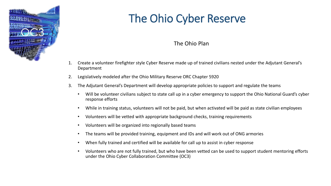

#### The Ohio Plan

- 1. Create a volunteer firefighter style Cyber Reserve made up of trained civilians nested under the Adjutant General's Department
- 2. Legislatively modeled after the Ohio Military Reserve ORC Chapter 5920
- 3. The Adjutant General's Department will develop appropriate policies to support and regulate the teams
	- Will be volunteer civilians subject to state call up in a cyber emergency to support the Ohio National Guard's cyber response efforts
	- While in training status, volunteers will not be paid, but when activated will be paid as state civilian employees
	- Volunteers will be vetted with appropriate background checks, training requirements
	- Volunteers will be organized into regionally based teams
	- The teams will be provided training, equipment and IDs and will work out of ONG armories
	- When fully trained and certified will be available for call up to assist in cyber response
	- Volunteers who are not fully trained, but who have been vetted can be used to support student mentoring efforts under the Ohio Cyber Collaboration Committee (OC3)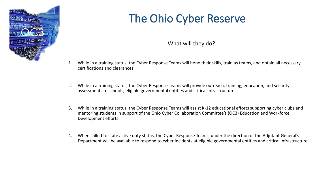

#### What will they do?

- 1. While in a training status, the Cyber Response Teams will hone their skills, train as teams, and obtain all necessary certifications and clearances.
- 2. While in a training status, the Cyber Response Teams will provide outreach, training, education, and security assessments to schools, eligible governmental entities and critical infrastructure.
- 3. While in a training status, the Cyber Response Teams will assist K-12 educational efforts supporting cyber clubs and mentoring students in support of the Ohio Cyber Collaboration Committee's (OC3) Education and Workforce Development efforts.
- 4. When called to state active duty status, the Cyber Response Teams, under the direction of the Adjutant General's Department will be available to respond to cyber incidents at eligible governmental entities and critical infrastructure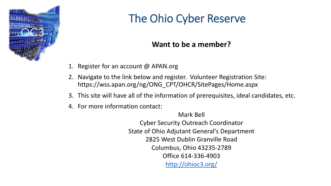

### **Want to be a member?**

- 1. Register for an account @ APAN.org
- 2. Navigate to the link below and register. Volunteer Registration Site: https://wss.apan.org/ng/ONG\_CPT/OHCR/SitePages/Home.aspx
- 3. This site will have all of the information of prerequisites, ideal candidates, etc.
- 4. For more information contact:

Mark Bell

Cyber Security Outreach Coordinator State of Ohio Adjutant General's Department 2825 West Dublin Granville Road Columbus, Ohio 43235-2789 Office 614-336-4903 <http://ohioc3.org/>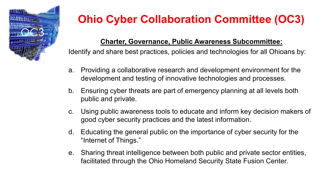

#### **Charter, Governance, Public Awareness Subcommittee:**

Identify and share best practices, policies and technologies for all Ohioans by:

- a. Providing a collaborative research and development environment for the development and testing of innovative technologies and processes.
- b. Ensuring cyber threats are part of emergency planning at all levels both public and private.
- c. Using public awareness tools to educate and inform key decision makers of good cyber security practices and the latest information.
- d. Educating the general public on the importance of cyber security for the "Internet of Things."
- e. Sharing threat intelligence between both public and private sector entities, facilitated through the Ohio Homeland Security State Fusion Center.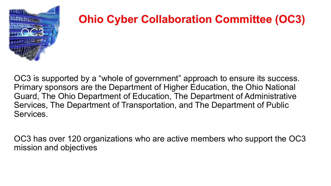

OC3 is supported by a "whole of government" approach to ensure its success. Primary sponsors are the Department of Higher Education, the Ohio National Guard, The Ohio Department of Education, The Department of Administrative Services, The Department of Transportation, and The Department of Public Services.

OC3 has over 120 organizations who are active members who support the OC3 mission and objectives